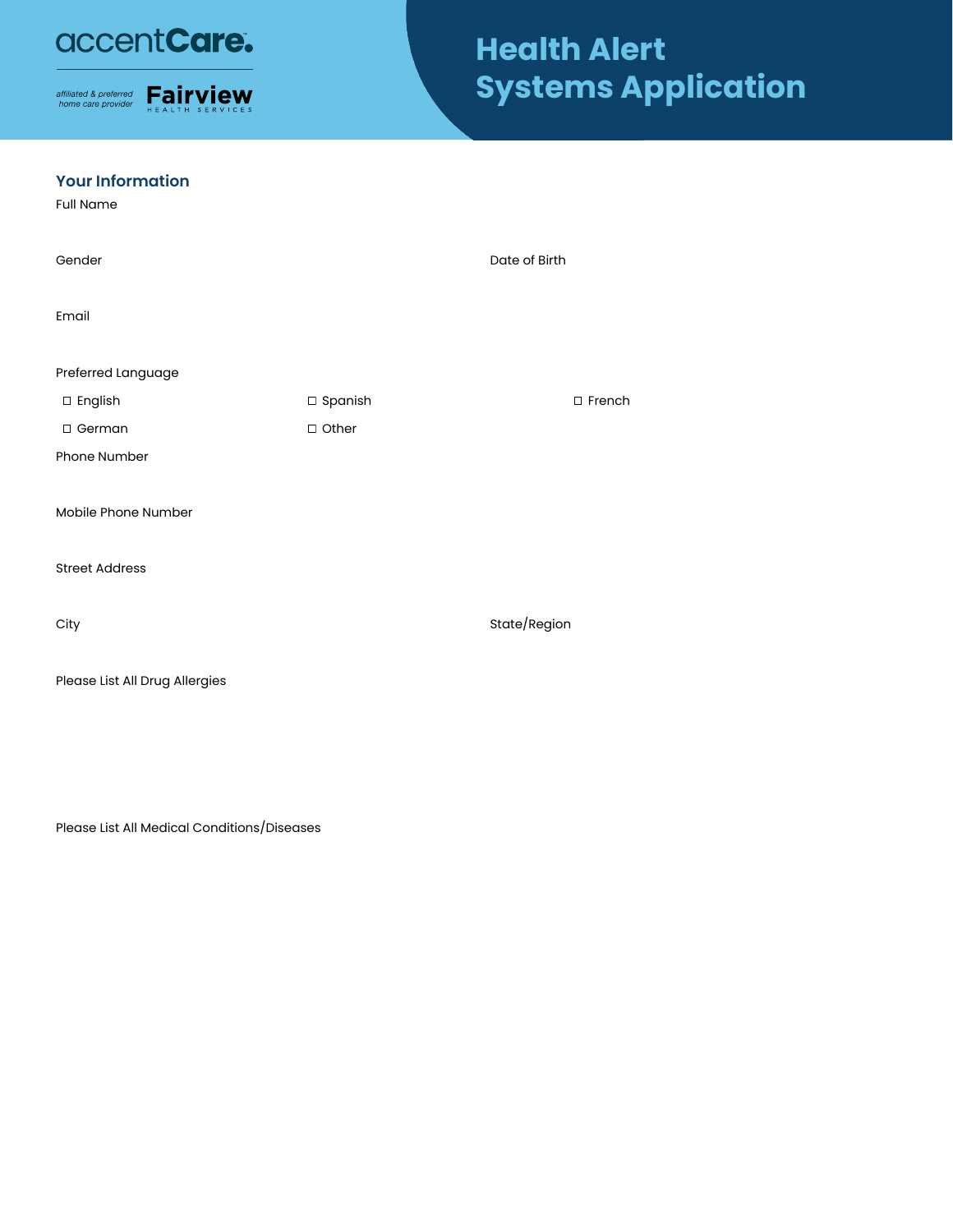## accentCare.



# **Health Alert Systems Application**

#### **Your Information**

Full Name

| Gender                         |           | Date of Birth |
|--------------------------------|-----------|---------------|
| Email                          |           |               |
| Preferred Language             |           |               |
| □ English                      | □ Spanish | □ French      |
| □ German                       | □ Other   |               |
| Phone Number                   |           |               |
| Mobile Phone Number            |           |               |
| <b>Street Address</b>          |           |               |
| City                           |           | State/Region  |
| Please List All Drug Allergies |           |               |

Please List All Medical Conditions/Diseases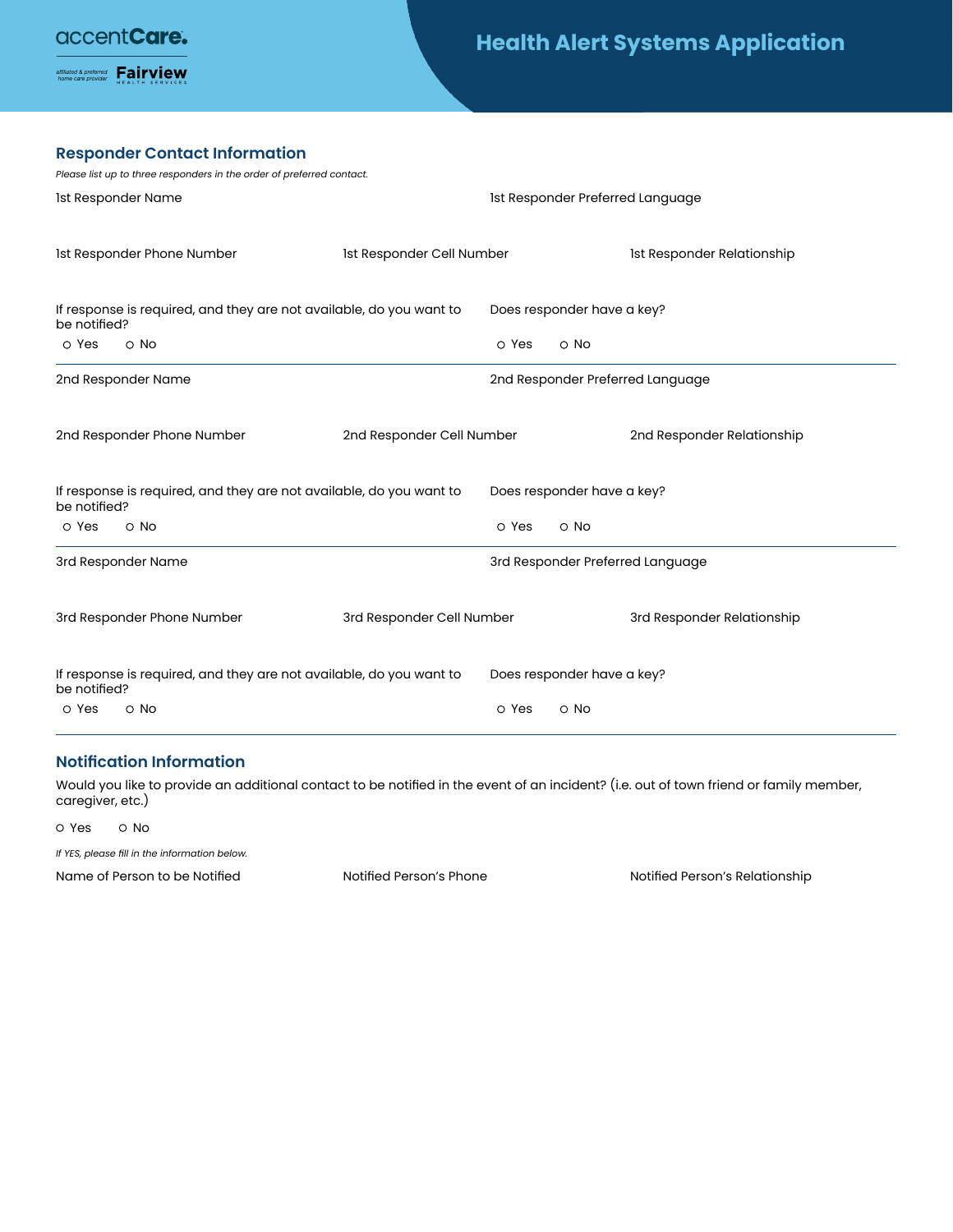affiliated & preferred **Fairview** 

## **Health Alert Systems Application**

#### **Responder Contact Information**

| Please list up to three responders in the order of preferred contact.               |                           |       |                                  |                                  |
|-------------------------------------------------------------------------------------|---------------------------|-------|----------------------------------|----------------------------------|
| 1st Responder Name                                                                  |                           |       | 1st Responder Preferred Language |                                  |
| 1st Responder Phone Number                                                          | Ist Responder Cell Number |       |                                  | Ist Responder Relationship       |
| If response is required, and they are not available, do you want to<br>be notified? |                           |       | Does responder have a key?       |                                  |
| O Yes<br>$\circ$ No                                                                 |                           | O Yes | O No                             |                                  |
| 2nd Responder Name                                                                  |                           |       |                                  | 2nd Responder Preferred Language |
| 2nd Responder Phone Number                                                          | 2nd Responder Cell Number |       |                                  | 2nd Responder Relationship       |
| If response is required, and they are not available, do you want to<br>be notified? |                           |       | Does responder have a key?       |                                  |
| O Yes<br>$\circ$ No                                                                 |                           | O Yes | O No                             |                                  |
| 3rd Responder Name                                                                  |                           |       |                                  | 3rd Responder Preferred Language |
| 3rd Responder Phone Number                                                          | 3rd Responder Cell Number |       |                                  | 3rd Responder Relationship       |
| If response is required, and they are not available, do you want to<br>be notified? |                           |       | Does responder have a key?       |                                  |
| O Yes<br>$\circ$ No                                                                 |                           | O Yes | $\circ$ No                       |                                  |

#### **Notification Information**

Would you like to provide an additional contact to be notified in the event of an incident? (i.e. out of town friend or family member, caregiver, etc.)

O Yes O No

*If YES, please fill in the information below.*

Name of Person to be Notified Notified Notified Person's Phone Notified Person's Relationship